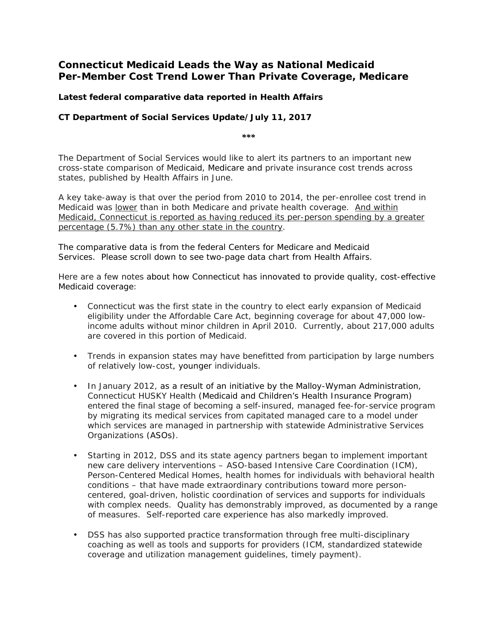## **Connecticut Medicaid Leads the Way as National Medicaid Per-Member Cost Trend Lower Than Private Coverage, Medicare**

### **Latest federal comparative data reported in** *Health Affairs*

#### *CT Department of Social Services Update/July 11, 2017*

*\*\*\**

The Department of Social Services would like to alert its partners to an important new cross-state comparison of Medicaid, Medicare and private insurance cost trends across states, published by *Health Affairs* in June.

A key take-away is that over the period from 2010 to 2014, the per-enrollee cost trend in Medicaid was *lower* than in both Medicare and private health coverage. And within Medicaid, Connecticut is reported as having reduced its per-person spending by a greater percentage (5.7%) than any other state in the country.

The comparative data is from the federal Centers for Medicare and Medicaid Services. Please scroll down to see two-page data chart from *Health Affairs*.

Here are a few notes about how Connecticut has innovated to provide quality, cost-effective Medicaid coverage:

- Connecticut was the first state in the country to elect early expansion of Medicaid eligibility under the Affordable Care Act, beginning coverage for about 47,000 lowincome adults without minor children in April 2010. Currently, about 217,000 adults are covered in this portion of Medicaid.
- Trends in expansion states may have benefitted from participation by large numbers of relatively low-cost, younger individuals.
- In January 2012, as a result of an initiative by the Malloy-Wyman Administration, Connecticut HUSKY Health (Medicaid and Children's Health Insurance Program) entered the final stage of becoming a self-insured, managed fee-for-service program by migrating its medical services from capitated managed care to a model under which services are managed in partnership with statewide Administrative Services Organizations (ASOs).
- Starting in 2012, DSS and its state agency partners began to implement important new care delivery interventions – ASO-based Intensive Care Coordination (ICM), Person-Centered Medical Homes, health homes for individuals with behavioral health conditions – that have made extraordinary contributions toward more personcentered, goal-driven, holistic coordination of services and supports for individuals with complex needs. Quality has demonstrably improved, as documented by a range of measures. Self-reported care experience has also markedly improved.
- DSS has also supported practice transformation through free multi-disciplinary coaching as well as tools and supports for providers (ICM, standardized statewide coverage and utilization management guidelines, timely payment).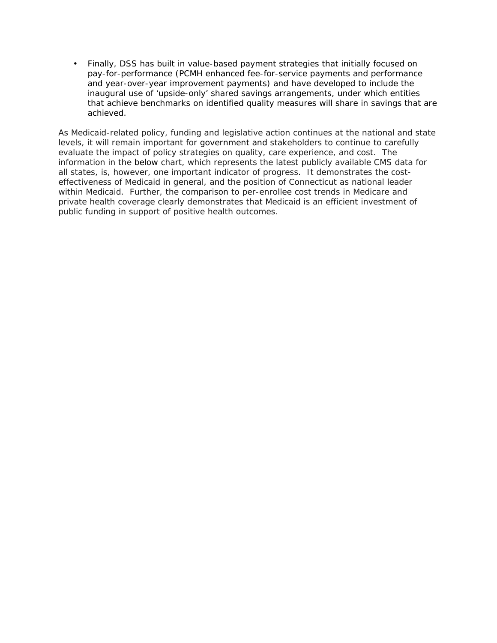Finally, DSS has built in value-based payment strategies that initially focused on pay-for-performance (PCMH enhanced fee-for-service payments and performance and year-over-year improvement payments) and have developed to include the inaugural use of 'upside-only' shared savings arrangements, under which entities that achieve benchmarks on identified quality measures will share in savings that are achieved.

As Medicaid-related policy, funding and legislative action continues at the national and state levels, it will remain important for government and stakeholders to continue to carefully evaluate the impact of policy strategies on quality, care experience, and cost. The information in the below chart, which represents the latest publicly available CMS data for all states, is, however, one important indicator of progress. It demonstrates the costeffectiveness of Medicaid in general, and the position of Connecticut as national leader within Medicaid. Further, the comparison to per-enrollee cost trends in Medicare and private health coverage clearly demonstrates that Medicaid is an efficient investment of public funding in support of positive health outcomes.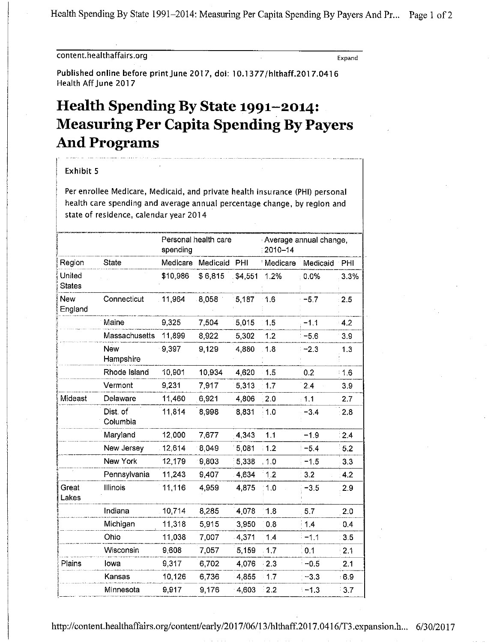Health Spending By State 1991–2014: Measuring Per Capita Spending By Payers And Pr... Page 1 of 2

### content.healthaffairs.org

Expand

Published online before print June 2017, doi: 10.1377/hlthaff.2017.0416 Health Aff June 2017

# Health Spending By State 1991-2014: **Measuring Per Capita Spending By Payers And Programs**

#### Exhibit 5

Per enrollee Medicare, Medicaid, and private health insurance (PHI) personal health care spending and average annual percentage change, by region and state of residence, calendar year 2014

|                         |                         | Personal health care<br>spending |          |          | Average annual change,<br>2010-14 |          |       |
|-------------------------|-------------------------|----------------------------------|----------|----------|-----------------------------------|----------|-------|
| Region                  | <b>State</b>            | Medicare                         | Medicaid | PHI      | <b>Medicare</b>                   | Medicaid | PHI   |
| United<br><b>States</b> |                         | \$10,986                         | \$6,815  | \$4,551  | 1.2%                              | 0.0%     | 3.3%  |
| <b>New</b><br>England   | Connecticut             | 11,964                           | 8,058    | 5.187    | 1.6                               | $-5.7$   | 2.5   |
|                         | Maine                   | 9,325                            | 7,504    | 5 0 1 5  | 1.5                               | $-1.1$   | $-42$ |
|                         | Massachusetts           | 11,899                           | 8,922    | 5,302    | 1.2                               | $-5.6$   | 3.9   |
|                         | <b>New</b><br>Hampshire | 9,397                            | 9.129    | 4.880    | 1.8                               | $-2.3$   | 1.3   |
|                         | Rhode Island            | 10,901                           | 10,934   | 4 6 20   | 1.5                               | 0.2      | 1.6   |
|                         | Vermont                 | 9,231                            | 7,917    | 5313     | 1.7                               | 2.4      | 3.9   |
| Mideast                 | Delaware                | 11,460                           | 6,921    | 4,806    | 2.0                               | 1.1      | 2.7   |
|                         | Dist. of<br>Columbia    | 11,814                           | 8,998    | 8,831    | 1.0                               | $-3.4$   | 2.8   |
|                         | Maryland                | 12,000                           | 7,677    | 4,343    | 1.1                               | $-1.9$   | 2.4   |
|                         | New Jersey              | 12,614                           | 8,049    | 5.081    | 1.2                               | $-5.4$   | 5.2   |
|                         | New York                | 12,179                           | 9,803    | 5,338    | 1.0                               | $-1.5$   | 3.3   |
|                         | Pennsylvania            | 11,243                           | 9,407    | 4,634    | 1.2                               | 3.2      | 4.2   |
| Great<br>Lakes          | Illinois                | 11,116                           | 4,959    | 4,875    | 1.0                               | $-3.5$   | 2.9   |
|                         | Indiana                 | 10,714                           | 8,285    | 4.078    | 1.8                               | 5.7      | 2.0   |
|                         | Michigan                | 11,318                           | 5,915    | 3,950    | 0.8                               | 1.4      | 0.4   |
|                         | Ohio                    | 11,038                           | 7,007    | 4,371    | 1.4                               | $-1.1$   | 3.5   |
|                         | Wisconsin               | 9,608                            | 7,057    | 5,159    | 1.7                               | 0.1      | 2.1   |
| Plains                  | lowa                    | 9,317                            | 6,702    | 4 0 7 6  | $-2.3$                            | $-0.5$   | 2.1   |
|                         | Kansas                  | 10,126                           | 6,736    | 4,855    | 17                                | $-3.3$   | 6.9   |
|                         | Minnesota               | 9,917                            | 9,176    | $-4,603$ | 2.2                               | $-1.3$   | 3.7   |

http://content.healthaffairs.org/content/early/2017/06/13/hlthaff.2017.0416/T3.expansion.h... 6/30/2017